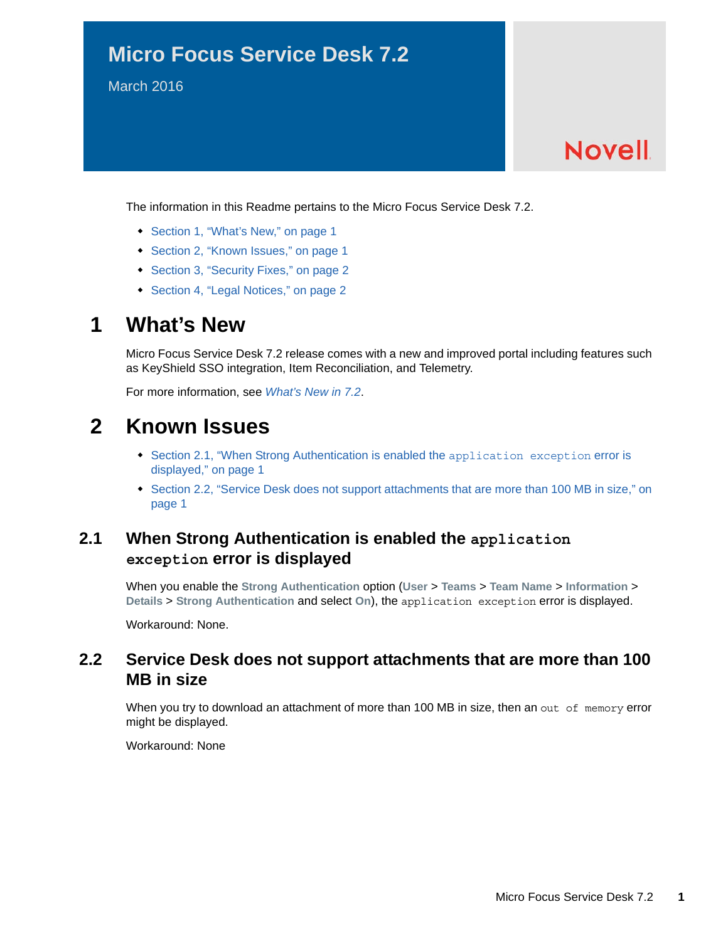### **Micro Focus Service Desk 7.2**

March 2016

# **Novell**

The information in this Readme pertains to the Micro Focus Service Desk 7.2.

- [Section 1, "What's New," on page 1](#page-0-1)
- [Section 2, "Known Issues," on page 1](#page-0-2)
- [Section 3, "Security Fixes," on page 2](#page-1-0)
- [Section 4, "Legal Notices," on page 2](#page-1-1)

### <span id="page-0-1"></span>**1 What's New**

Micro Focus Service Desk 7.2 release comes with a new and improved portal including features such as KeyShield SSO integration, Item Reconciliation, and Telemetry.

For more information, see *What's New in 7.2*.

### <span id="page-0-2"></span>**2 Known Issues**

- [Section 2.1, "When Strong Authentication is enabled the](#page-0-3) application exception error is [displayed," on page 1](#page-0-3)
- Section 2.2, "Service Desk does not support attachments that are more than 100 MB in size," on [page 1](#page-0-0)

#### <span id="page-0-3"></span>**2.1 When Strong Authentication is enabled the application exception error is displayed**

When you enable the **Strong Authentication** option (**User** > **Teams** > **Team Name** > **Information** > **Details** > **Strong Authentication** and select **On**), the application exception error is displayed.

Workaround: None.

#### <span id="page-0-0"></span>**2.2 Service Desk does not support attachments that are more than 100 MB in size**

When you try to download an attachment of more than 100 MB in size, then an out of memory error might be displayed.

Workaround: None